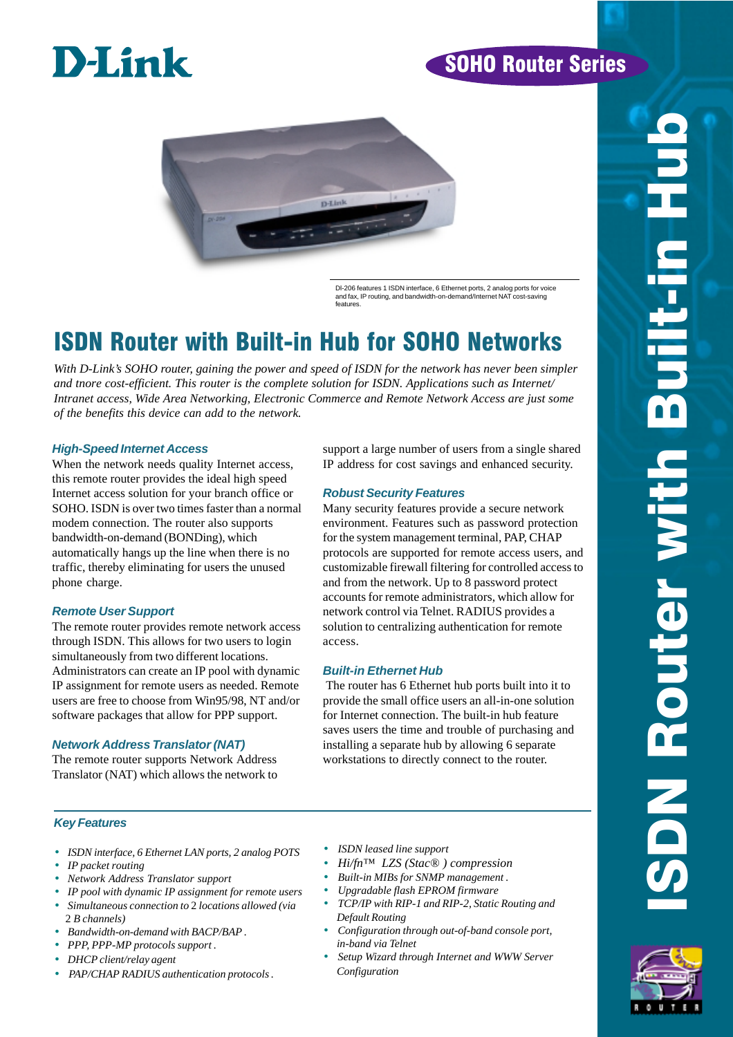# **D-Link**

# SOHO Router Series



Dl-206 features 1 ISDN interface, 6 Ethernet ports, 2 analog ports for voice and fax, IP routing, and bandwidth-on-demand/Internet NAT cost-saving features.

# ISDN Router with Built-in Hub for SOHO Networks

*With D-Link's SOHO router, gaining the power and speed of ISDN for the network has never been simpler and tnore cost-efficient. This router is the complete solution for ISDN. Applications such as Internet/ Intranet access, Wide Area Networking, Electronic Commerce and Remote Network Access are just some of the benefits this device can add to the network.*

### **High-Speed Internet Access**

When the network needs quality Internet access, this remote router provides the ideal high speed Internet access solution for your branch office or SOHO. ISDN is over two times faster than a normal modem connection. The router also supports bandwidth-on-demand (BONDing), which automatically hangs up the line when there is no traffic, thereby eliminating for users the unused phone charge.

### **Remote User Support**

The remote router provides remote network access through ISDN. This allows for two users to login simultaneously from two different locations. Administrators can create an IP pool with dynamic IP assignment for remote users as needed. Remote users are free to choose from Win95/98, NT and/or software packages that allow for PPP support.

# **Network Address Translator (NAT)**

The remote router supports Network Address Translator (NAT) which allows the network to support a large number of users from a single shared IP address for cost savings and enhanced security.

# **Robust Security Features**

Many security features provide a secure network environment. Features such as password protection for the system management terminal, PAP, CHAP protocols are supported for remote access users, and customizable firewall filtering for controlled access to and from the network. Up to 8 password protect accounts for remote administrators, which allow for network control via Telnet. RADIUS provides a solution to centralizing authentication for remote access.

# **Built-in Ethernet Hub**

 The router has 6 Ethernet hub ports built into it to provide the small office users an all-in-one solution for Internet connection. The built-in hub feature saves users the time and trouble of purchasing and installing a separate hub by allowing 6 separate workstations to directly connect to the router.

# **Key Features**

- *ISDN interface, 6 Ethernet LAN ports, 2 analog POTS*
- *IP packet routing*
- *Network Address Translator support*
- *IP pool with dynamic IP assignment for remote users*
- *Simultaneous connection to* 2 *locations allowed (via* 2 *B channels)*
- *Bandwidth-on-demand with BACP/BAP .*
- *PPP, PPP-MP protocols support .*
- *DHCP client/relay agent*
- *PAP/CHAP RADIUS authentication protocols .*
- *ISDN leased line support*
- *Hi/fn™ LZS (Stac® ) compression*
- *Built-in MIBs for SNMP management .*
- *Upgradable flash EPROM firmware*
- *TCP/IP with RIP-1 and RIP-2, Static Routing and Default Routing*
- *Configuration through out-of-band console port, in-band via Telnet*
- *Setup Wizard through Internet and WWW Server Configuration*